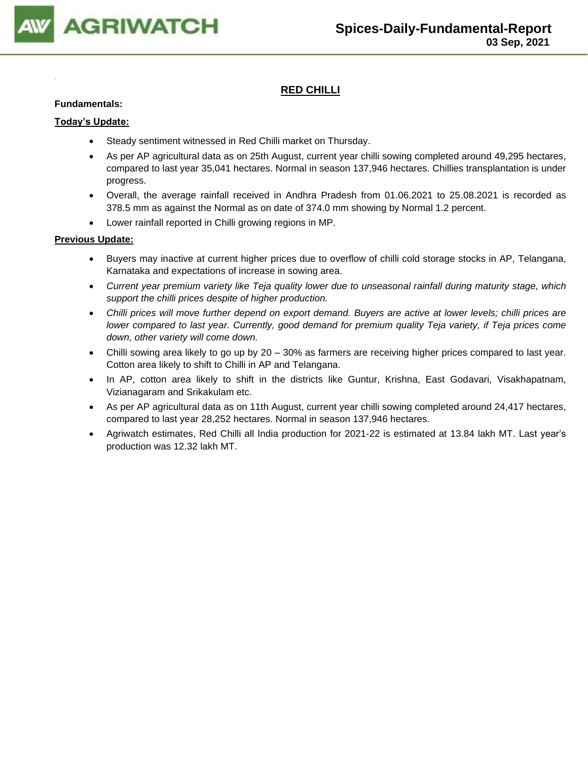

## **RED CHILLI**

#### **Fundamentals:**

#### **Today's Update:**

- Steady sentiment witnessed in Red Chilli market on Thursday.
- As per AP agricultural data as on 25th August, current year chilli sowing completed around 49,295 hectares, compared to last year 35,041 hectares. Normal in season 137,946 hectares. Chillies transplantation is under progress.
- Overall, the average rainfall received in Andhra Pradesh from 01.06.2021 to 25.08.2021 is recorded as 378.5 mm as against the Normal as on date of 374.0 mm showing by Normal 1.2 percent.
- Lower rainfall reported in Chilli growing regions in MP.

- Buyers may inactive at current higher prices due to overflow of chilli cold storage stocks in AP, Telangana, Karnataka and expectations of increase in sowing area.
- *Current year premium variety like Teja quality lower due to unseasonal rainfall during maturity stage, which support the chilli prices despite of higher production.*
- *Chilli prices will move further depend on export demand. Buyers are active at lower levels; chilli prices are lower compared to last year. Currently, good demand for premium quality Teja variety, if Teja prices come down, other variety will come down.*
- Chilli sowing area likely to go up by 20 30% as farmers are receiving higher prices compared to last year. Cotton area likely to shift to Chilli in AP and Telangana.
- In AP, cotton area likely to shift in the districts like Guntur, Krishna, East Godavari, Visakhapatnam, Vizianagaram and Srikakulam etc.
- As per AP agricultural data as on 11th August, current year chilli sowing completed around 24,417 hectares, compared to last year 28,252 hectares. Normal in season 137,946 hectares.
- Agriwatch estimates, Red Chilli all India production for 2021-22 is estimated at 13.84 lakh MT. Last year's production was 12.32 lakh MT.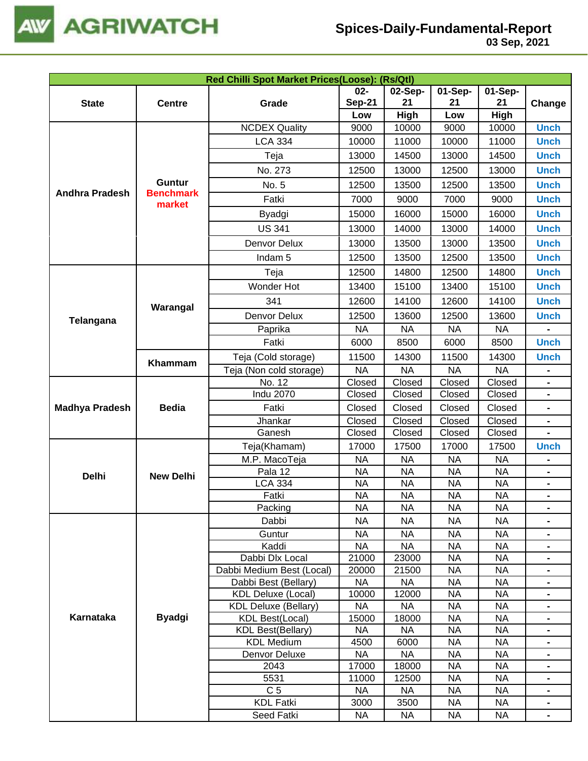

| $02-$<br>02-Sep-<br>01-Sep-<br>$01-Sep-$<br><b>Sep-21</b><br>21<br>21<br>21<br><b>State</b><br>Grade<br><b>Centre</b><br>High<br>High<br>Low<br>Low<br><b>NCDEX Quality</b><br>9000<br>10000<br>10000<br>9000 | Change<br><b>Unch</b><br><b>Unch</b><br><b>Unch</b><br><b>Unch</b> |
|---------------------------------------------------------------------------------------------------------------------------------------------------------------------------------------------------------------|--------------------------------------------------------------------|
|                                                                                                                                                                                                               |                                                                    |
|                                                                                                                                                                                                               |                                                                    |
|                                                                                                                                                                                                               |                                                                    |
|                                                                                                                                                                                                               |                                                                    |
| <b>LCA 334</b><br>11000<br>10000<br>11000<br>10000                                                                                                                                                            |                                                                    |
| Teja<br>13000<br>14500<br>13000<br>14500                                                                                                                                                                      |                                                                    |
| No. 273<br>12500<br>13000<br>12500<br>13000                                                                                                                                                                   |                                                                    |
| <b>Guntur</b><br>No. 5<br>12500<br>13500<br>12500<br>13500                                                                                                                                                    | <b>Unch</b>                                                        |
| <b>Andhra Pradesh</b><br><b>Benchmark</b><br>Fatki<br>7000<br>7000<br>9000<br>9000                                                                                                                            | <b>Unch</b>                                                        |
| market<br>Byadgi<br>15000<br>16000<br>15000<br>16000                                                                                                                                                          | <b>Unch</b>                                                        |
| <b>US 341</b><br>14000<br>13000<br>13000<br>14000                                                                                                                                                             | <b>Unch</b>                                                        |
| 13000<br>Denvor Delux<br>13500<br>13000<br>13500                                                                                                                                                              | <b>Unch</b>                                                        |
| 13500<br>13500<br>Indam <sub>5</sub><br>12500<br>12500                                                                                                                                                        | <b>Unch</b>                                                        |
| 12500<br>14800<br>12500<br>14800<br>Teja                                                                                                                                                                      | <b>Unch</b>                                                        |
| Wonder Hot<br>13400<br>15100<br>13400<br>15100                                                                                                                                                                | <b>Unch</b>                                                        |
| 341<br>12600<br>14100<br>12600<br>14100                                                                                                                                                                       | <b>Unch</b>                                                        |
| Warangal<br>Denvor Delux<br>12500<br>13600<br>12500<br>13600                                                                                                                                                  | <b>Unch</b>                                                        |
| Telangana<br><b>NA</b><br><b>NA</b><br><b>NA</b><br><b>NA</b><br>Paprika                                                                                                                                      |                                                                    |
| Fatki<br>6000<br>8500<br>6000<br>8500                                                                                                                                                                         | <b>Unch</b>                                                        |
| Teja (Cold storage)<br>11500<br>14300<br>11500<br>14300                                                                                                                                                       | <b>Unch</b>                                                        |
| Khammam<br><b>NA</b><br><b>NA</b><br>Teja (Non cold storage)<br><b>NA</b><br><b>NA</b>                                                                                                                        |                                                                    |
| No. 12<br>Closed<br>Closed<br>Closed<br>Closed                                                                                                                                                                |                                                                    |
| <b>Indu 2070</b><br>Closed<br>Closed<br>Closed<br>Closed                                                                                                                                                      |                                                                    |
| <b>Madhya Pradesh</b><br><b>Bedia</b><br>Closed<br>Closed<br>Closed<br>Fatki<br>Closed                                                                                                                        | $\qquad \qquad \blacksquare$                                       |
| Closed<br>Closed<br>Closed<br>Closed<br>Jhankar                                                                                                                                                               |                                                                    |
| Ganesh<br>Closed<br>Closed<br>Closed<br>Closed                                                                                                                                                                |                                                                    |
| Teja(Khamam)<br>17000<br>17500<br>17000<br>17500                                                                                                                                                              | <b>Unch</b>                                                        |
| M.P. MacoTeja<br><b>NA</b><br><b>NA</b><br><b>NA</b><br><b>NA</b>                                                                                                                                             | $\blacksquare$                                                     |
| <b>NA</b><br><b>NA</b><br><b>NA</b><br><b>NA</b><br>Pala 12<br><b>Delhi</b><br><b>New Delhi</b>                                                                                                               | $\blacksquare$                                                     |
| <b>LCA 334</b><br><b>NA</b><br><b>NA</b><br><b>NA</b><br><b>NA</b>                                                                                                                                            |                                                                    |
| <b>NA</b><br><b>NA</b><br><b>NA</b><br><b>NA</b><br>Fatki                                                                                                                                                     |                                                                    |
| Packing<br><b>NA</b><br><b>NA</b><br><b>NA</b><br><b>NA</b>                                                                                                                                                   |                                                                    |
| Dabbi<br><b>NA</b><br><b>NA</b><br><b>NA</b><br><b>NA</b>                                                                                                                                                     |                                                                    |
| Guntur<br><b>NA</b><br><b>NA</b><br><b>NA</b><br><b>NA</b>                                                                                                                                                    | $\blacksquare$                                                     |
| Kaddi<br><b>NA</b><br><b>NA</b><br><b>NA</b><br><b>NA</b>                                                                                                                                                     | $\blacksquare$                                                     |
| Dabbi Dlx Local<br>21000<br>23000<br><b>NA</b><br><b>NA</b>                                                                                                                                                   | $\blacksquare$                                                     |
| 20000<br>21500<br><b>NA</b><br><b>NA</b><br>Dabbi Medium Best (Local)                                                                                                                                         |                                                                    |
| <b>NA</b><br><b>NA</b><br><b>NA</b><br><b>NA</b><br>Dabbi Best (Bellary)                                                                                                                                      |                                                                    |
| <b>KDL Deluxe (Local)</b><br>10000<br>12000<br><b>NA</b><br><b>NA</b>                                                                                                                                         | $\blacksquare$                                                     |
| <b>NA</b><br><b>NA</b><br><b>NA</b><br><b>NA</b><br><b>KDL Deluxe (Bellary)</b>                                                                                                                               |                                                                    |
| Karnataka<br><b>Byadgi</b><br><b>NA</b><br><b>NA</b><br><b>KDL Best(Local)</b><br>15000<br>18000                                                                                                              |                                                                    |
| <b>NA</b><br><b>NA</b><br><b>NA</b><br><b>NA</b><br><b>KDL Best(Bellary)</b>                                                                                                                                  | $\blacksquare$                                                     |
| <b>KDL Medium</b><br><b>NA</b><br>4500<br>6000<br><b>NA</b>                                                                                                                                                   |                                                                    |
| Denvor Deluxe<br><b>NA</b><br><b>NA</b><br><b>NA</b><br><b>NA</b>                                                                                                                                             |                                                                    |
| 17000<br><b>NA</b><br><b>NA</b><br>2043<br>18000<br>5531<br><b>NA</b><br><b>NA</b>                                                                                                                            | $\blacksquare$                                                     |
| 11000<br>12500<br>C <sub>5</sub><br><b>NA</b><br><b>NA</b><br>NA<br><b>NA</b>                                                                                                                                 | $\blacksquare$<br>$\blacksquare$                                   |
| <b>KDL Fatki</b><br>3000<br>3500<br><b>NA</b><br><b>NA</b>                                                                                                                                                    |                                                                    |
| Seed Fatki<br><b>NA</b><br><b>NA</b><br><b>NA</b><br><b>NA</b>                                                                                                                                                |                                                                    |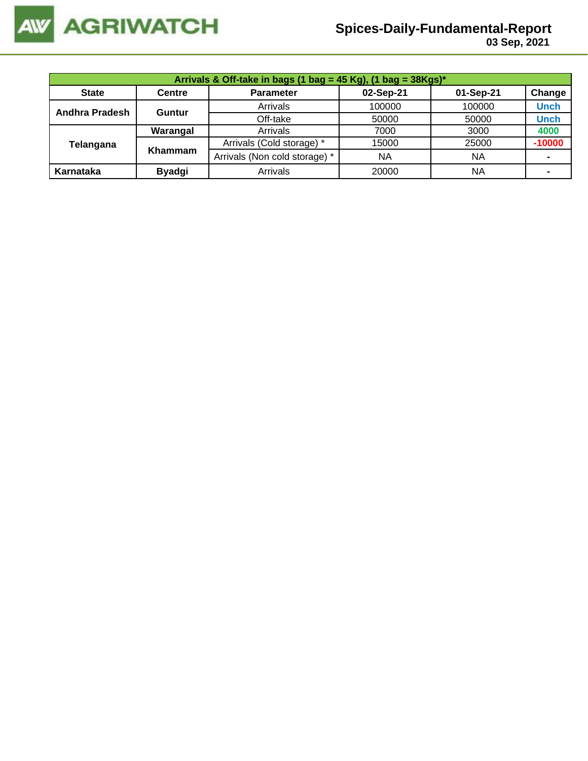

| Arrivals & Off-take in bags (1 bag = 45 Kg), (1 bag = $38Kgs$ )* |               |                               |        |           |             |  |  |  |
|------------------------------------------------------------------|---------------|-------------------------------|--------|-----------|-------------|--|--|--|
| <b>State</b>                                                     | <b>Centre</b> | 01-Sep-21                     | Change |           |             |  |  |  |
| Andhra Pradesh                                                   | Guntur        | Arrivals                      | 100000 | 100000    | <b>Unch</b> |  |  |  |
|                                                                  |               | Off-take                      | 50000  | 50000     | <b>Unch</b> |  |  |  |
|                                                                  | Warangal      | Arrivals                      | 7000   | 3000      | 4000        |  |  |  |
| Telangana                                                        | Khammam       | Arrivals (Cold storage) *     | 15000  | 25000     | $-10000$    |  |  |  |
|                                                                  |               | Arrivals (Non cold storage) * | NA     | <b>NA</b> |             |  |  |  |
| Karnataka                                                        | <b>Byadgi</b> | Arrivals                      | 20000  | <b>NA</b> |             |  |  |  |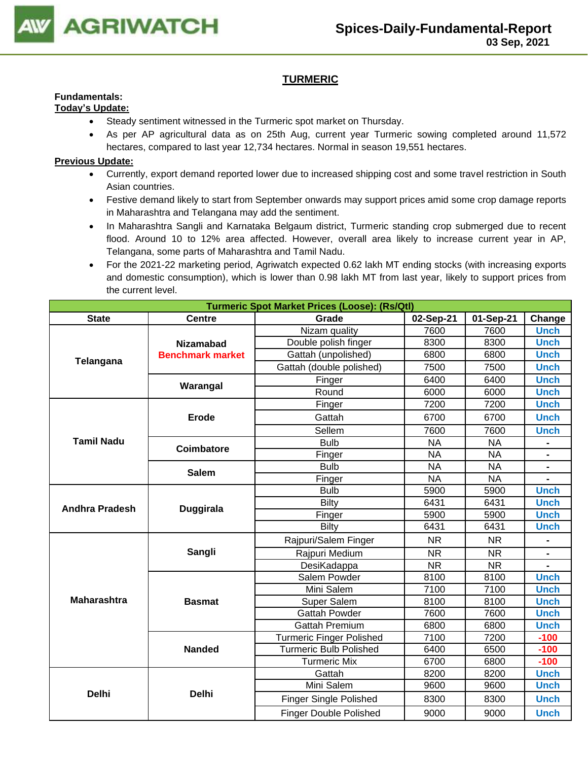

## **TURMERIC**

#### **Fundamentals: Today's Update:**

- Steady sentiment witnessed in the Turmeric spot market on Thursday.
- As per AP agricultural data as on 25th Aug, current year Turmeric sowing completed around 11,572 hectares, compared to last year 12,734 hectares. Normal in season 19,551 hectares.

- Currently, export demand reported lower due to increased shipping cost and some travel restriction in South Asian countries.
- Festive demand likely to start from September onwards may support prices amid some crop damage reports in Maharashtra and Telangana may add the sentiment.
- In Maharashtra Sangli and Karnataka Belgaum district, Turmeric standing crop submerged due to recent flood. Around 10 to 12% area affected. However, overall area likely to increase current year in AP, Telangana, some parts of Maharashtra and Tamil Nadu.
- For the 2021-22 marketing period, Agriwatch expected 0.62 lakh MT ending stocks (with increasing exports and domestic consumption), which is lower than 0.98 lakh MT from last year, likely to support prices from the current level.

| <b>Turmeric Spot Market Prices (Loose): (Rs/Qtl)</b> |                         |                                 |           |           |                              |  |  |  |
|------------------------------------------------------|-------------------------|---------------------------------|-----------|-----------|------------------------------|--|--|--|
| <b>State</b>                                         | <b>Centre</b>           | Grade                           | 02-Sep-21 | 01-Sep-21 | Change                       |  |  |  |
|                                                      |                         | Nizam quality                   | 7600      | 7600      | <b>Unch</b>                  |  |  |  |
|                                                      | <b>Nizamabad</b>        | Double polish finger            | 8300      | 8300      | <b>Unch</b>                  |  |  |  |
| Telangana                                            | <b>Benchmark market</b> | Gattah (unpolished)             | 6800      | 6800      | <b>Unch</b>                  |  |  |  |
|                                                      |                         | Gattah (double polished)        | 7500      | 7500      | <b>Unch</b>                  |  |  |  |
|                                                      | Warangal                | Finger                          | 6400      | 6400      | <b>Unch</b>                  |  |  |  |
|                                                      |                         | Round                           | 6000      | 6000      | <b>Unch</b>                  |  |  |  |
|                                                      |                         | Finger                          | 7200      | 7200      | <b>Unch</b>                  |  |  |  |
|                                                      | <b>Erode</b>            | Gattah                          | 6700      | 6700      | <b>Unch</b>                  |  |  |  |
|                                                      |                         | Sellem                          | 7600      | 7600      | <b>Unch</b>                  |  |  |  |
| <b>Tamil Nadu</b>                                    | Coimbatore              | <b>Bulb</b>                     | <b>NA</b> | <b>NA</b> | $\qquad \qquad \blacksquare$ |  |  |  |
|                                                      |                         | Finger                          | <b>NA</b> | <b>NA</b> | $\blacksquare$               |  |  |  |
|                                                      | <b>Salem</b>            | <b>Bulb</b>                     | <b>NA</b> | <b>NA</b> |                              |  |  |  |
|                                                      |                         | Finger                          | <b>NA</b> | <b>NA</b> |                              |  |  |  |
|                                                      |                         | <b>Bulb</b>                     | 5900      | 5900      | <b>Unch</b>                  |  |  |  |
| <b>Andhra Pradesh</b>                                | <b>Duggirala</b>        | <b>Bilty</b>                    | 6431      | 6431      | <b>Unch</b>                  |  |  |  |
|                                                      |                         | Finger                          | 5900      | 5900      | <b>Unch</b>                  |  |  |  |
|                                                      |                         | <b>Bilty</b>                    | 6431      | 6431      | <b>Unch</b>                  |  |  |  |
|                                                      |                         | Rajpuri/Salem Finger            | <b>NR</b> | <b>NR</b> |                              |  |  |  |
|                                                      | Sangli                  | Rajpuri Medium                  | <b>NR</b> | <b>NR</b> | $\blacksquare$               |  |  |  |
|                                                      |                         | <b>DesiKadappa</b>              | <b>NR</b> | <b>NR</b> |                              |  |  |  |
|                                                      |                         | Salem Powder                    | 8100      | 8100      | <b>Unch</b>                  |  |  |  |
|                                                      |                         | Mini Salem                      | 7100      | 7100      | <b>Unch</b>                  |  |  |  |
| <b>Maharashtra</b>                                   | <b>Basmat</b>           | Super Salem                     | 8100      | 8100      | <b>Unch</b>                  |  |  |  |
|                                                      |                         | <b>Gattah Powder</b>            | 7600      | 7600      | <b>Unch</b>                  |  |  |  |
|                                                      |                         | <b>Gattah Premium</b>           | 6800      | 6800      | <b>Unch</b>                  |  |  |  |
|                                                      |                         | <b>Turmeric Finger Polished</b> | 7100      | 7200      | $-100$                       |  |  |  |
|                                                      | <b>Nanded</b>           | Turmeric Bulb Polished          | 6400      | 6500      | $-100$                       |  |  |  |
|                                                      |                         | <b>Turmeric Mix</b>             | 6700      | 6800      | $-100$                       |  |  |  |
|                                                      |                         | Gattah                          | 8200      | 8200      | <b>Unch</b>                  |  |  |  |
| <b>Delhi</b>                                         | <b>Delhi</b>            | Mini Salem                      | 9600      | 9600      | <b>Unch</b>                  |  |  |  |
|                                                      |                         | <b>Finger Single Polished</b>   | 8300      | 8300      | <b>Unch</b>                  |  |  |  |
|                                                      |                         | <b>Finger Double Polished</b>   | 9000      | 9000      | <b>Unch</b>                  |  |  |  |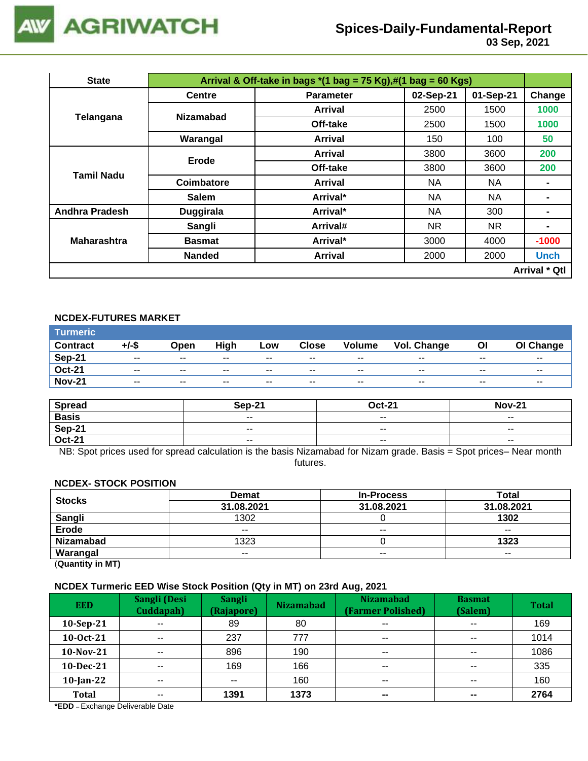

 **03 Sep, 2021**

| <b>State</b>          | Arrival & Off-take in bags $*(1 \text{ bag} = 75 \text{ Kg}),\#(1 \text{ bag} = 60 \text{ Kg})$ |                  |           |           |                      |  |  |  |
|-----------------------|-------------------------------------------------------------------------------------------------|------------------|-----------|-----------|----------------------|--|--|--|
|                       | <b>Centre</b>                                                                                   | <b>Parameter</b> | 02-Sep-21 | 01-Sep-21 | Change               |  |  |  |
| Telangana             | <b>Nizamabad</b>                                                                                | Arrival          | 2500      | 1500      | 1000                 |  |  |  |
|                       |                                                                                                 | Off-take         | 2500      | 1500      | 1000                 |  |  |  |
|                       | Warangal                                                                                        | <b>Arrival</b>   | 150       | 100       | 50                   |  |  |  |
|                       | Erode                                                                                           | Arrival          | 3800      | 3600      | 200                  |  |  |  |
| <b>Tamil Nadu</b>     |                                                                                                 | Off-take         | 3800      | 3600      | 200                  |  |  |  |
|                       | Coimbatore                                                                                      | Arrival          | NA.       | NA.       |                      |  |  |  |
|                       | <b>Salem</b>                                                                                    | Arrival*         | NA.       | NA        |                      |  |  |  |
| <b>Andhra Pradesh</b> | <b>Duggirala</b>                                                                                | Arrival*         | <b>NA</b> | 300       | $\blacksquare$       |  |  |  |
|                       | Sangli                                                                                          | Arrival#         | NR.       | NR.       |                      |  |  |  |
| <b>Maharashtra</b>    | <b>Basmat</b>                                                                                   | Arrival*         | 3000      | 4000      | $-1000$              |  |  |  |
|                       | <b>Nanded</b>                                                                                   | <b>Arrival</b>   | 2000      | 2000      | <b>Unch</b>          |  |  |  |
|                       |                                                                                                 |                  |           |           | <b>Arrival * Qtl</b> |  |  |  |

### **NCDEX-FUTURES MARKET**

| <b>Turmeric</b> |                          |       |       |       |              |                          |                    |       |           |
|-----------------|--------------------------|-------|-------|-------|--------------|--------------------------|--------------------|-------|-----------|
| <b>Contract</b> | +/-\$                    | Open  | High  | Low   | <b>Close</b> | <b>Volume</b>            | <b>Vol. Change</b> | Οl    | OI Change |
| Sep-21          | $\sim$ $\sim$            | $- -$ | $- -$ | $- -$ | $- -$        | $\overline{\phantom{a}}$ | $- -$              | $- -$ | $- -$     |
| <b>Oct-21</b>   | $\overline{\phantom{a}}$ | $- -$ | $- -$ | $- -$ | $- -$        | $\overline{\phantom{a}}$ | $- -$              | $- -$ | $- -$     |
| <b>Nov-21</b>   | $- -$                    | $- -$ | $- -$ | $- -$ | --           | $- -$                    | $- -$              | $- -$ | $- -$     |

| <b>Spread</b> | <b>Sep-21</b>            | <b>Oct-21</b>            | <b>Nov-21</b>            |
|---------------|--------------------------|--------------------------|--------------------------|
| <b>Basis</b>  | $\overline{\phantom{a}}$ | $\overline{\phantom{a}}$ | $\overline{\phantom{a}}$ |
| <b>Sep-21</b> | $\overline{\phantom{m}}$ | $- -$                    | $\overline{\phantom{a}}$ |
| <b>Oct-21</b> | $\sim$                   | $\overline{\phantom{a}}$ | $\overline{\phantom{a}}$ |

NB: Spot prices used for spread calculation is the basis Nizamabad for Nizam grade. Basis = Spot prices– Near month futures.

#### **NCDEX- STOCK POSITION**

| <b>Stocks</b>    | <b>Demat</b> | <b>In-Process</b> | Total      |
|------------------|--------------|-------------------|------------|
|                  | 31.08.2021   | 31.08.2021        | 31.08.2021 |
| Sangli<br>Erode  | 1302         |                   | 1302       |
|                  | $- -$        | $- -$             | $- -$      |
| <b>Nizamabad</b> | 1323         |                   | 1323       |
| Warangal         | $- -$        | $- -$             | $- -$      |

(**Quantity in MT)**

### **NCDEX Turmeric EED Wise Stock Position (Qty in MT) on 23rd Aug, 2021**

| <b>EED</b>   | <b>Sangli (Desi</b><br>Cuddapah) | <b>Sangli</b><br>(Rajapore) | <b>Nizamabad</b> | <b>Nizamabad</b><br>(Farmer Polished) | <b>Basmat</b><br>(Salem) | <b>Total</b> |
|--------------|----------------------------------|-----------------------------|------------------|---------------------------------------|--------------------------|--------------|
| $10-Sep-21$  | $-1$                             | 89                          | 80               | $- -$                                 | $\sim$ $\sim$            | 169          |
| 10-0ct-21    | $- -$                            | 237                         | 777              | $\sim$ $\sim$                         | $\sim$ $\sim$            | 1014         |
| 10-Nov-21    | $- -$                            | 896                         | 190              | $\sim$ $\sim$                         | $\sim$ $\sim$            | 1086         |
| 10-Dec-21    | $\sim$ $\sim$                    | 169                         | 166              | $\sim$ $\sim$                         | $\sim$ $\sim$            | 335          |
| $10$ -Jan-22 | $\sim$ $\sim$                    | $- -$                       | 160              | $\sim$ $\sim$                         | $\sim$ $\sim$            | 160          |
| <b>Total</b> | $- -$                            | 1391                        | 1373             | $\sim$                                | $\sim$                   | 2764         |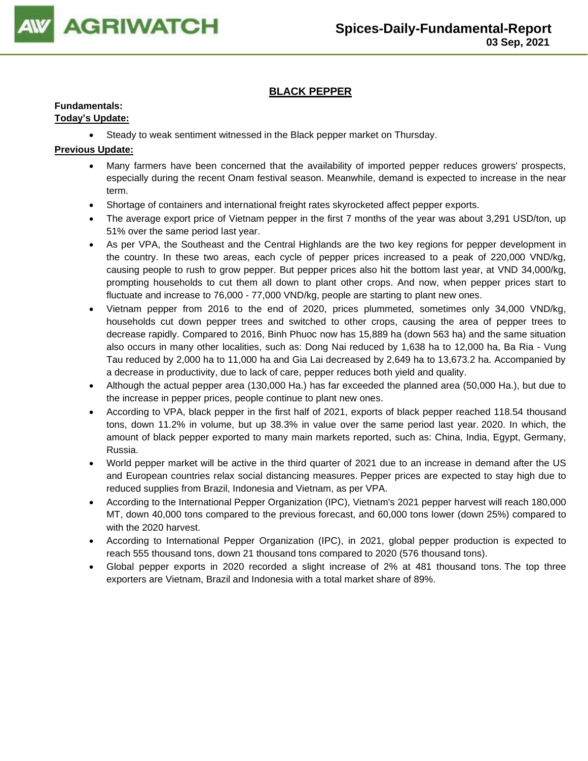

## **BLACK PEPPER**

## **Fundamentals:**

## **Today's Update:**

• Steady to weak sentiment witnessed in the Black pepper market on Thursday.

- Many farmers have been concerned that the availability of imported pepper reduces growers' prospects, especially during the recent Onam festival season. Meanwhile, demand is expected to increase in the near term.
- Shortage of containers and international freight rates skyrocketed affect pepper exports.
- The average export price of Vietnam pepper in the first 7 months of the year was about 3,291 USD/ton, up 51% over the same period last year.
- As per VPA, the Southeast and the Central Highlands are the two key regions for pepper development in the country. In these two areas, each cycle of pepper prices increased to a peak of 220,000 VND/kg, causing people to rush to grow pepper. But pepper prices also hit the bottom last year, at VND 34,000/kg, prompting households to cut them all down to plant other crops. And now, when pepper prices start to fluctuate and increase to 76,000 - 77,000 VND/kg, people are starting to plant new ones.
- Vietnam pepper from 2016 to the end of 2020, prices plummeted, sometimes only 34,000 VND/kg, households cut down pepper trees and switched to other crops, causing the area of pepper trees to decrease rapidly. Compared to 2016, Binh Phuoc now has 15,889 ha (down 563 ha) and the same situation also occurs in many other localities, such as: Dong Nai reduced by 1,638 ha to 12,000 ha, Ba Ria - Vung Tau reduced by 2,000 ha to 11,000 ha and Gia Lai decreased by 2,649 ha to 13,673.2 ha. Accompanied by a decrease in productivity, due to lack of care, pepper reduces both yield and quality.
- Although the actual pepper area (130,000 Ha.) has far exceeded the planned area (50,000 Ha.), but due to the increase in pepper prices, people continue to plant new ones.
- According to VPA, black pepper in the first half of 2021, exports of black pepper reached 118.54 thousand tons, down 11.2% in volume, but up 38.3% in value over the same period last year. 2020. In which, the amount of black pepper exported to many main markets reported, such as: China, India, Egypt, Germany, Russia.
- World pepper market will be active in the third quarter of 2021 due to an increase in demand after the US and European countries relax social distancing measures. Pepper prices are expected to stay high due to reduced supplies from Brazil, Indonesia and Vietnam, as per VPA.
- According to the International Pepper Organization (IPC), Vietnam's 2021 pepper harvest will reach 180,000 MT, down 40,000 tons compared to the previous forecast, and 60,000 tons lower (down 25%) compared to with the 2020 harvest.
- According to International Pepper Organization (IPC), in 2021, global pepper production is expected to reach 555 thousand tons, down 21 thousand tons compared to 2020 (576 thousand tons).
- Global pepper exports in 2020 recorded a slight increase of 2% at 481 thousand tons. The top three exporters are Vietnam, Brazil and Indonesia with a total market share of 89%.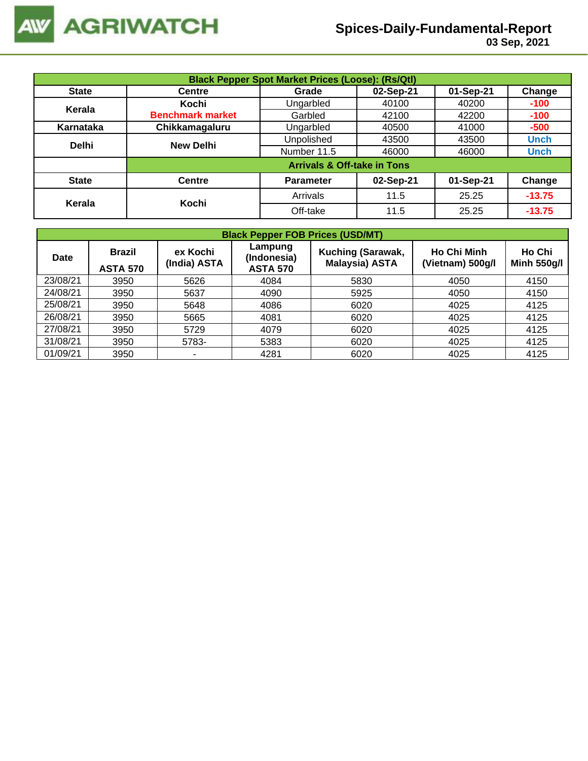

| <b>Black Pepper Spot Market Prices (Loose): (Rs/Qtl)</b> |                         |                                        |           |           |             |  |  |  |
|----------------------------------------------------------|-------------------------|----------------------------------------|-----------|-----------|-------------|--|--|--|
| <b>State</b>                                             | <b>Centre</b>           | Grade                                  | 02-Sep-21 | 01-Sep-21 | Change      |  |  |  |
| Kerala                                                   | Kochi                   | Ungarbled                              | 40100     | 40200     | $-100$      |  |  |  |
|                                                          | <b>Benchmark market</b> | Garbled                                | 42100     | 42200     | $-100$      |  |  |  |
| Karnataka                                                | Chikkamagaluru          | Ungarbled                              | 40500     | 41000     | $-500$      |  |  |  |
| <b>Delhi</b>                                             | <b>New Delhi</b>        | Unpolished                             | 43500     | 43500     | <b>Unch</b> |  |  |  |
|                                                          |                         | Number 11.5                            | 46000     | 46000     | <b>Unch</b> |  |  |  |
|                                                          |                         | <b>Arrivals &amp; Off-take in Tons</b> |           |           |             |  |  |  |
| <b>State</b>                                             | <b>Centre</b>           | <b>Parameter</b>                       | 02-Sep-21 | 01-Sep-21 | Change      |  |  |  |
| Kerala                                                   | Kochi                   | Arrivals                               | 11.5      | 25.25     | $-13.75$    |  |  |  |
|                                                          |                         | Off-take                               | 11.5      | 25.25     | $-13.75$    |  |  |  |

|             | <b>Black Pepper FOB Prices (USD/MT)</b> |                          |                                           |                                                   |                                        |                              |  |  |  |  |  |  |
|-------------|-----------------------------------------|--------------------------|-------------------------------------------|---------------------------------------------------|----------------------------------------|------------------------------|--|--|--|--|--|--|
| <b>Date</b> | <b>Brazil</b><br><b>ASTA 570</b>        | ex Kochi<br>(India) ASTA | Lampung<br>(Indonesia)<br><b>ASTA 570</b> | <b>Kuching (Sarawak,</b><br><b>Malaysia) ASTA</b> | <b>Ho Chi Minh</b><br>(Vietnam) 500g/l | Ho Chi<br><b>Minh 550g/l</b> |  |  |  |  |  |  |
| 23/08/21    | 3950                                    | 5626                     | 4084                                      | 5830                                              | 4050                                   | 4150                         |  |  |  |  |  |  |
| 24/08/21    | 3950                                    | 5637                     | 4090                                      | 5925                                              | 4050                                   | 4150                         |  |  |  |  |  |  |
| 25/08/21    | 3950                                    | 5648                     | 4086                                      | 6020                                              | 4025                                   | 4125                         |  |  |  |  |  |  |
| 26/08/21    | 3950                                    | 5665                     | 4081                                      | 6020                                              | 4025                                   | 4125                         |  |  |  |  |  |  |
| 27/08/21    | 3950                                    | 5729                     | 4079                                      | 6020                                              | 4025                                   | 4125                         |  |  |  |  |  |  |
| 31/08/21    | 3950                                    | 5783-                    | 5383                                      | 6020                                              | 4025                                   | 4125                         |  |  |  |  |  |  |
| 01/09/21    | 3950                                    |                          | 4281                                      | 6020                                              | 4025                                   | 4125                         |  |  |  |  |  |  |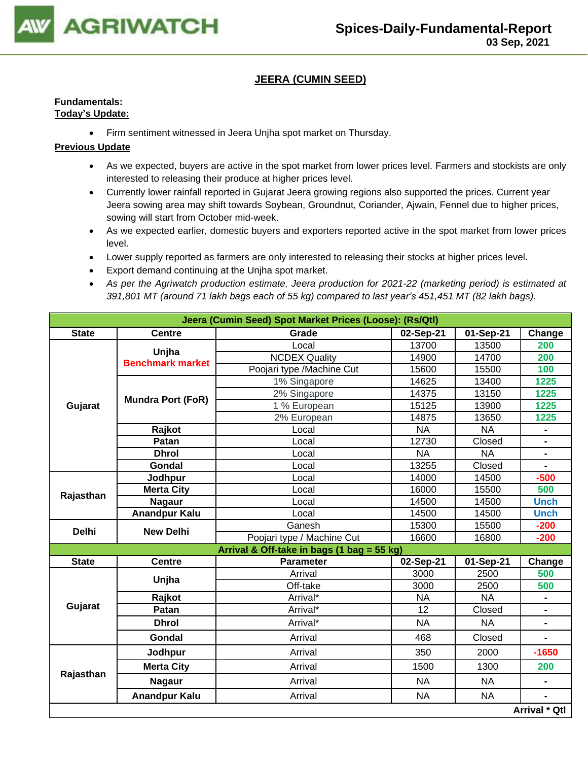

## **JEERA (CUMIN SEED)**

#### **Fundamentals: Today's Update:**

• Firm sentiment witnessed in Jeera Unjha spot market on Thursday.

- As we expected, buyers are active in the spot market from lower prices level. Farmers and stockists are only interested to releasing their produce at higher prices level.
- Currently lower rainfall reported in Gujarat Jeera growing regions also supported the prices. Current year Jeera sowing area may shift towards Soybean, Groundnut, Coriander, Ajwain, Fennel due to higher prices, sowing will start from October mid-week.
- As we expected earlier, domestic buyers and exporters reported active in the spot market from lower prices level.
- Lower supply reported as farmers are only interested to releasing their stocks at higher prices level.
- Export demand continuing at the Unjha spot market.
- *As per the Agriwatch production estimate, Jeera production for 2021-22 (marketing period) is estimated at 391,801 MT (around 71 lakh bags each of 55 kg) compared to last year's 451,451 MT (82 lakh bags).*

| Jeera (Cumin Seed) Spot Market Prices (Loose): (Rs/Qtl) |                          |                                            |           |           |                      |  |  |  |
|---------------------------------------------------------|--------------------------|--------------------------------------------|-----------|-----------|----------------------|--|--|--|
| <b>State</b>                                            | <b>Centre</b>            | Grade                                      | 02-Sep-21 | 01-Sep-21 | Change               |  |  |  |
|                                                         | Unjha                    | Local                                      | 13700     | 13500     | 200                  |  |  |  |
|                                                         | <b>Benchmark market</b>  | <b>NCDEX Quality</b>                       | 14900     | 14700     | 200                  |  |  |  |
|                                                         |                          | Poojari type /Machine Cut                  | 15600     | 15500     | 100                  |  |  |  |
|                                                         |                          | 1% Singapore                               | 14625     | 13400     | 1225                 |  |  |  |
|                                                         | <b>Mundra Port (FoR)</b> | 2% Singapore                               | 14375     | 13150     | 1225                 |  |  |  |
| Gujarat                                                 |                          | 1 % European                               | 15125     | 13900     | 1225                 |  |  |  |
|                                                         |                          | 2% European                                | 14875     | 13650     | 1225                 |  |  |  |
|                                                         | Rajkot                   | Local                                      | <b>NA</b> | <b>NA</b> |                      |  |  |  |
|                                                         | Patan                    | Local                                      | 12730     | Closed    | $\blacksquare$       |  |  |  |
|                                                         | <b>Dhrol</b>             | Local                                      | <b>NA</b> | <b>NA</b> | $\blacksquare$       |  |  |  |
|                                                         | Gondal                   | Local                                      | 13255     | Closed    | $\blacksquare$       |  |  |  |
|                                                         | Jodhpur                  | Local                                      | 14000     | 14500     | $-500$               |  |  |  |
| Rajasthan                                               | <b>Merta City</b>        | Local                                      | 16000     | 15500     | 500                  |  |  |  |
|                                                         | <b>Nagaur</b>            | Local                                      | 14500     | 14500     | <b>Unch</b>          |  |  |  |
|                                                         | <b>Anandpur Kalu</b>     | Local                                      | 14500     | 14500     | <b>Unch</b>          |  |  |  |
| <b>Delhi</b>                                            | <b>New Delhi</b>         | Ganesh                                     | 15300     | 15500     | $-200$               |  |  |  |
|                                                         |                          | Poojari type / Machine Cut                 | 16600     | 16800     | $-200$               |  |  |  |
|                                                         |                          | Arrival & Off-take in bags (1 bag = 55 kg) |           |           |                      |  |  |  |
| <b>State</b>                                            | <b>Centre</b>            | <b>Parameter</b>                           | 02-Sep-21 | 01-Sep-21 | Change               |  |  |  |
|                                                         | Unjha                    | Arrival                                    | 3000      | 2500      | 500                  |  |  |  |
|                                                         |                          | Off-take                                   | 3000      | 2500      | 500                  |  |  |  |
|                                                         | Rajkot                   | Arrival*                                   | <b>NA</b> | <b>NA</b> |                      |  |  |  |
| Gujarat                                                 | Patan                    | Arrival*                                   | 12        | Closed    |                      |  |  |  |
|                                                         | <b>Dhrol</b>             | Arrival*                                   | <b>NA</b> | <b>NA</b> | $\blacksquare$       |  |  |  |
|                                                         | Gondal                   | Arrival                                    | 468       | Closed    |                      |  |  |  |
|                                                         | Jodhpur                  | Arrival                                    | 350       | 2000      | $-1650$              |  |  |  |
|                                                         | <b>Merta City</b>        | Arrival                                    | 1500      | 1300      | 200                  |  |  |  |
| Rajasthan                                               | <b>Nagaur</b>            | Arrival                                    | <b>NA</b> | <b>NA</b> | $\blacksquare$       |  |  |  |
|                                                         | <b>Anandpur Kalu</b>     | Arrival                                    | <b>NA</b> | <b>NA</b> |                      |  |  |  |
|                                                         |                          |                                            |           |           | <b>Arrival * Qtl</b> |  |  |  |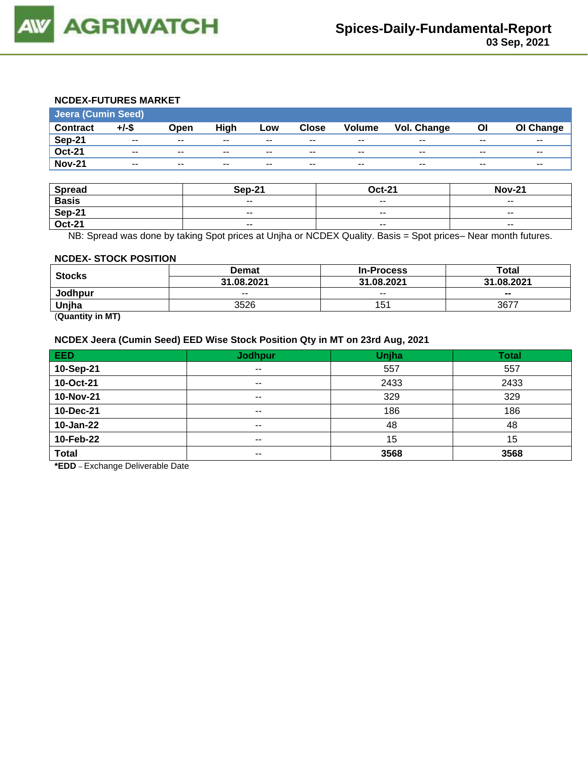

## **NCDEX-FUTURES MARKET**

| <b>Jeera (Cumin Seed)</b> |          |                          |       |       |                          |                          |             |       |           |
|---------------------------|----------|--------------------------|-------|-------|--------------------------|--------------------------|-------------|-------|-----------|
| <b>Contract</b>           | $+/-$ \$ | Open                     | High  | Low   | <b>Close</b>             | <b>Volume</b>            | Vol. Change | ΟI    | OI Change |
| Sep-21                    | $- -$    | $\overline{\phantom{a}}$ | $- -$ | $- -$ | $\overline{\phantom{a}}$ | $\overline{\phantom{a}}$ | $- -$       | $- -$ | $- -$     |
| <b>Oct-21</b>             | $- -$    | $\overline{\phantom{a}}$ | $- -$ | $- -$ | $\overline{\phantom{a}}$ | $\overline{\phantom{a}}$ | $- -$       | $- -$ | $- -$     |
| <b>Nov-21</b>             | $- -$    | $- -$                    | $- -$ | $- -$ | $- -$                    | $- -$                    | $- -$       | $- -$ | $- -$     |
|                           |          |                          |       |       |                          |                          |             |       |           |

| <b>Spread</b> | <b>Sep-21</b> | <b>Oct-21</b>            | <b>Nov-21</b> |
|---------------|---------------|--------------------------|---------------|
| <b>Basis</b>  | $- -$         | $\overline{\phantom{a}}$ | $- -$         |
| Sep-21        | $- -$         | $- -$                    | $- -$         |
| <b>Oct-21</b> | $\sim$ $\sim$ | $\overline{\phantom{a}}$ | $\sim$ $\sim$ |

NB: Spread was done by taking Spot prices at Unjha or NCDEX Quality. Basis = Spot prices– Near month futures.

#### **NCDEX- STOCK POSITION**

| <b>Stocks</b>  | Demat      | <b>In-Process</b> | Total                    |  |
|----------------|------------|-------------------|--------------------------|--|
|                | 31.08.2021 | 31.08.2021        | 31.08.2021               |  |
| <b>Jodhpur</b> | $- -$      | $- -$             | $\overline{\phantom{a}}$ |  |
| Unjha          | 3526       | 151               | 3677                     |  |
| ____<br>__     |            |                   |                          |  |

(**Quantity in MT)**

## **NCDEX Jeera (Cumin Seed) EED Wise Stock Position Qty in MT on 23rd Aug, 2021**

| <b>EED</b>   | <b>Jodhpur</b> | Unjha | <b>Total</b> |
|--------------|----------------|-------|--------------|
| 10-Sep-21    | $\sim$ $\sim$  | 557   | 557          |
| 10-Oct-21    | $- -$          | 2433  | 2433         |
| 10-Nov-21    | $- -$          | 329   | 329          |
| 10-Dec-21    | $\sim$ $\sim$  | 186   | 186          |
| 10-Jan-22    | $\sim$ $\sim$  | 48    | 48           |
| 10-Feb-22    | $\sim$ $\sim$  | 15    | 15           |
| <b>Total</b> | $- -$          | 3568  | 3568         |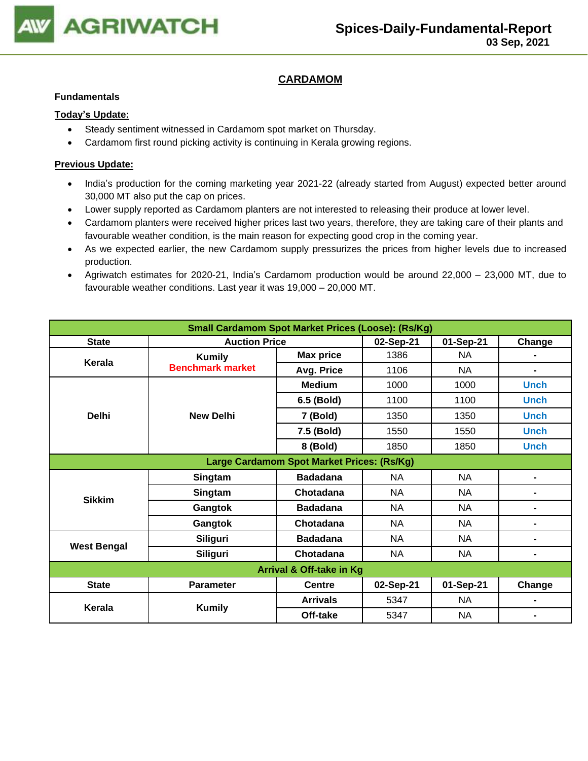

## **CARDAMOM**

#### **Fundamentals**

#### **Today's Update:**

- Steady sentiment witnessed in Cardamom spot market on Thursday.
- Cardamom first round picking activity is continuing in Kerala growing regions.

- India's production for the coming marketing year 2021-22 (already started from August) expected better around 30,000 MT also put the cap on prices.
- Lower supply reported as Cardamom planters are not interested to releasing their produce at lower level.
- Cardamom planters were received higher prices last two years, therefore, they are taking care of their plants and favourable weather condition, is the main reason for expecting good crop in the coming year.
- As we expected earlier, the new Cardamom supply pressurizes the prices from higher levels due to increased production.
- Agriwatch estimates for 2020-21, India's Cardamom production would be around 22,000 23,000 MT, due to favourable weather conditions. Last year it was 19,000 – 20,000 MT.

| <b>Small Cardamom Spot Market Prices (Loose): (Rs/Kg)</b> |                         |                                            |           |           |                |  |  |
|-----------------------------------------------------------|-------------------------|--------------------------------------------|-----------|-----------|----------------|--|--|
| <b>State</b>                                              | <b>Auction Price</b>    |                                            | 02-Sep-21 | 01-Sep-21 | Change         |  |  |
| Kerala                                                    | <b>Kumily</b>           | <b>Max price</b>                           | 1386      | NA        |                |  |  |
|                                                           | <b>Benchmark market</b> | Avg. Price                                 | 1106      | <b>NA</b> |                |  |  |
|                                                           |                         | <b>Medium</b>                              | 1000      | 1000      | <b>Unch</b>    |  |  |
|                                                           |                         | 6.5 (Bold)                                 | 1100      | 1100      | <b>Unch</b>    |  |  |
| <b>Delhi</b>                                              | <b>New Delhi</b>        | 7 (Bold)                                   | 1350      | 1350      | <b>Unch</b>    |  |  |
|                                                           |                         | 7.5 (Bold)                                 | 1550      | 1550      | <b>Unch</b>    |  |  |
|                                                           |                         | 8 (Bold)                                   | 1850      | 1850      | <b>Unch</b>    |  |  |
|                                                           |                         | Large Cardamom Spot Market Prices: (Rs/Kg) |           |           |                |  |  |
|                                                           | Singtam                 | <b>Badadana</b>                            | NA        | NA        |                |  |  |
| <b>Sikkim</b>                                             | Singtam                 | Chotadana                                  | <b>NA</b> | <b>NA</b> | $\blacksquare$ |  |  |
|                                                           | Gangtok                 | <b>Badadana</b>                            | <b>NA</b> | <b>NA</b> | $\blacksquare$ |  |  |
|                                                           | Gangtok                 | Chotadana                                  | <b>NA</b> | <b>NA</b> | $\blacksquare$ |  |  |
|                                                           | Siliguri                | <b>Badadana</b>                            | <b>NA</b> | <b>NA</b> | $\blacksquare$ |  |  |
| <b>West Bengal</b>                                        | Siliguri                | Chotadana                                  | <b>NA</b> | NA.       | $\blacksquare$ |  |  |
| Arrival & Off-take in Kg                                  |                         |                                            |           |           |                |  |  |
| <b>State</b>                                              | <b>Parameter</b>        | <b>Centre</b>                              | 02-Sep-21 | 01-Sep-21 | Change         |  |  |
| Kerala                                                    |                         | <b>Arrivals</b>                            | 5347      | NA.       |                |  |  |
|                                                           | <b>Kumily</b>           | Off-take                                   | 5347      | <b>NA</b> |                |  |  |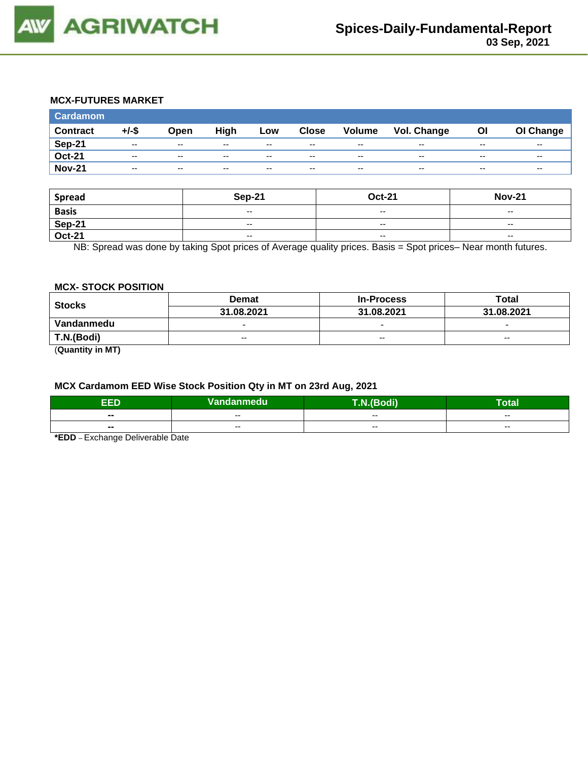

## **MCX-FUTURES MARKET**

| <b>Cardamom</b> |          |                          |       |       |              |                          |             |       |           |
|-----------------|----------|--------------------------|-------|-------|--------------|--------------------------|-------------|-------|-----------|
| <b>Contract</b> | $+/-$ \$ | Open                     | High  | Low   | <b>Close</b> | Volume                   | Vol. Change | Οl    | OI Change |
| <b>Sep-21</b>   | $- -$    | $\sim$ $\sim$            | $- -$ | $- -$ | $-$          | $\overline{\phantom{m}}$ | $- -$       | $- -$ | $- -$     |
| <b>Oct-21</b>   | $- -$    | $-$                      | $- -$ | $- -$ | $-$          | $\overline{\phantom{m}}$ | $- -$       | $- -$ | $- -$     |
| <b>Nov-21</b>   | $- -$    | $\overline{\phantom{a}}$ | $- -$ | $- -$ | $- -$        | $\overline{\phantom{m}}$ | $- -$       | $- -$ | $- -$     |

| <b>Spread</b> | <b>Sep-21</b>                                  | <b>Oct-21</b>            | <b>Nov-21</b>                         |
|---------------|------------------------------------------------|--------------------------|---------------------------------------|
| <b>Basis</b>  | $\overline{\phantom{a}}$                       | $-$                      | $- -$                                 |
| Sep-21        | $- -$                                          | $- -$                    | $- -$                                 |
| <b>Oct-21</b> | $\hspace{0.1mm}-\hspace{0.1mm}-\hspace{0.1mm}$ | $\overline{\phantom{a}}$ | $\hspace{0.05cm}$ – $\hspace{0.05cm}$ |

NB: Spread was done by taking Spot prices of Average quality prices. Basis = Spot prices– Near month futures.

#### **MCX- STOCK POSITION**

| <b>Stocks</b> | <b>Demat</b>             | <b>In-Process</b>        | <b>Total</b>             |  |
|---------------|--------------------------|--------------------------|--------------------------|--|
|               | 31.08.2021               | 31.08.2021               | 31.08.2021               |  |
| Vandanmedu    | $\overline{\phantom{0}}$ | $\overline{\phantom{0}}$ | $\overline{\phantom{0}}$ |  |
| T.N.(Bodi)    | $- -$                    | $- -$                    | $- -$                    |  |
| $\sim$        |                          |                          |                          |  |

(**Quantity in MT)**

#### **MCX Cardamom EED Wise Stock Position Qty in MT on 23rd Aug, 2021**

| -6<br>- 2                | Vandanmedu | odi)<br>$\sqrt{2}$ | otal                     |
|--------------------------|------------|--------------------|--------------------------|
| $\blacksquare$           | $- -$      | $- -$              | $- -$                    |
| $\overline{\phantom{a}}$ | $- -$      | $- -$              | $\overline{\phantom{a}}$ |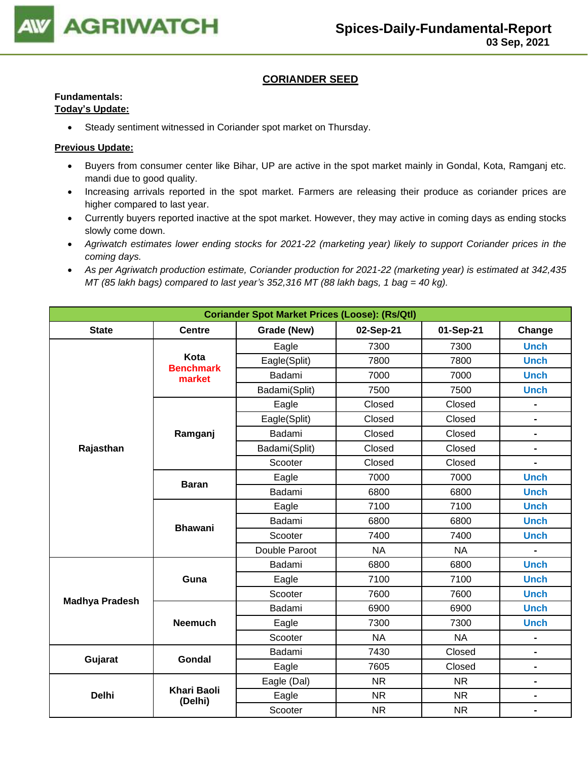

### **CORIANDER SEED**

## **Fundamentals:**

## **Today's Update:**

• Steady sentiment witnessed in Coriander spot market on Thursday.

- Buyers from consumer center like Bihar, UP are active in the spot market mainly in Gondal, Kota, Ramganj etc. mandi due to good quality.
- Increasing arrivals reported in the spot market. Farmers are releasing their produce as coriander prices are higher compared to last year.
- Currently buyers reported inactive at the spot market. However, they may active in coming days as ending stocks slowly come down.
- *Agriwatch estimates lower ending stocks for 2021-22 (marketing year) likely to support Coriander prices in the coming days.*
- *As per Agriwatch production estimate, Coriander production for 2021-22 (marketing year) is estimated at 342,435 MT (85 lakh bags) compared to last year's 352,316 MT (88 lakh bags, 1 bag = 40 kg).*

| <b>Coriander Spot Market Prices (Loose): (Rs/Qtl)</b> |                               |               |           |           |                |  |  |
|-------------------------------------------------------|-------------------------------|---------------|-----------|-----------|----------------|--|--|
| <b>State</b>                                          | <b>Centre</b>                 | Grade (New)   | Change    |           |                |  |  |
|                                                       |                               | Eagle         | 7300      | 7300      | <b>Unch</b>    |  |  |
|                                                       | Kota<br><b>Benchmark</b>      | Eagle(Split)  | 7800      | 7800      | <b>Unch</b>    |  |  |
|                                                       | market                        | Badami        | 7000      | 7000      | <b>Unch</b>    |  |  |
|                                                       |                               | Badami(Split) | 7500      | 7500      | <b>Unch</b>    |  |  |
|                                                       |                               | Eagle         | Closed    | Closed    | $\blacksquare$ |  |  |
|                                                       |                               | Eagle(Split)  | Closed    | Closed    | $\blacksquare$ |  |  |
|                                                       | Ramganj                       | Badami        | Closed    | Closed    | -              |  |  |
| Rajasthan                                             |                               | Badami(Split) | Closed    | Closed    | $\blacksquare$ |  |  |
|                                                       |                               | Scooter       | Closed    | Closed    | $\overline{a}$ |  |  |
|                                                       | <b>Baran</b>                  | Eagle         | 7000      | 7000      | <b>Unch</b>    |  |  |
|                                                       |                               | Badami        | 6800      | 6800      | <b>Unch</b>    |  |  |
|                                                       |                               | Eagle         | 7100      | 7100      | <b>Unch</b>    |  |  |
|                                                       | <b>Bhawani</b>                | Badami        | 6800      | 6800      | <b>Unch</b>    |  |  |
|                                                       |                               | Scooter       | 7400      | 7400      | <b>Unch</b>    |  |  |
|                                                       |                               | Double Paroot | <b>NA</b> | <b>NA</b> | $\blacksquare$ |  |  |
|                                                       |                               | Badami        | 6800      | 6800      | <b>Unch</b>    |  |  |
|                                                       | Guna                          | Eagle         | 7100      | 7100      | <b>Unch</b>    |  |  |
| <b>Madhya Pradesh</b>                                 |                               | Scooter       | 7600      | 7600      | <b>Unch</b>    |  |  |
|                                                       |                               | Badami        | 6900      | 6900      | <b>Unch</b>    |  |  |
|                                                       | <b>Neemuch</b>                | Eagle         | 7300      | 7300      | <b>Unch</b>    |  |  |
|                                                       |                               | Scooter       | <b>NA</b> | <b>NA</b> | -              |  |  |
| Gujarat                                               | <b>Gondal</b>                 | Badami        | 7430      | Closed    | $\blacksquare$ |  |  |
|                                                       |                               | Eagle         | 7605      | Closed    | $\blacksquare$ |  |  |
|                                                       |                               | Eagle (Dal)   | <b>NR</b> | <b>NR</b> | $\blacksquare$ |  |  |
| <b>Delhi</b>                                          | <b>Khari Baoli</b><br>(Delhi) | Eagle         | <b>NR</b> | <b>NR</b> | $\blacksquare$ |  |  |
|                                                       |                               | Scooter       | <b>NR</b> | <b>NR</b> | $\blacksquare$ |  |  |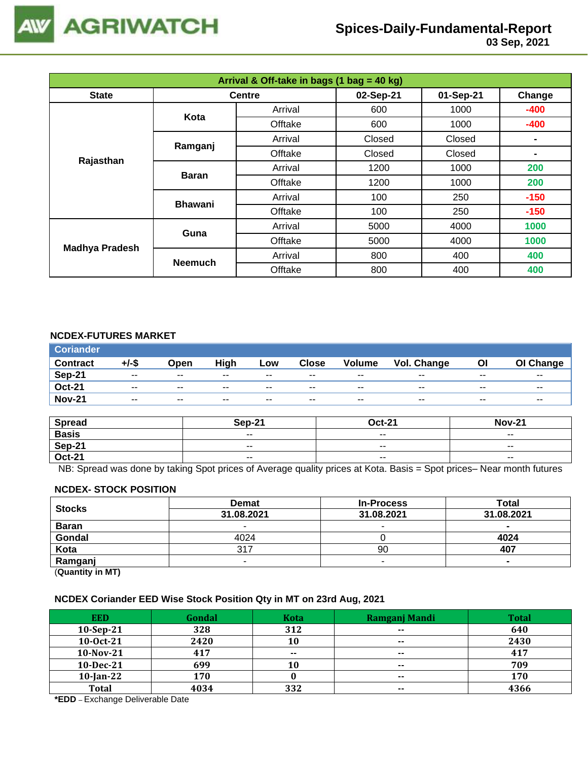

| Arrival & Off-take in bags (1 bag = 40 kg) |                |               |           |           |        |  |  |
|--------------------------------------------|----------------|---------------|-----------|-----------|--------|--|--|
| <b>State</b>                               |                | <b>Centre</b> | 02-Sep-21 | 01-Sep-21 | Change |  |  |
|                                            | Kota           | Arrival       | 600       | 1000      | $-400$ |  |  |
|                                            |                | Offtake       | 600       | 1000      | $-400$ |  |  |
|                                            | Ramganj        | Arrival       | Closed    | Closed    |        |  |  |
|                                            |                | Offtake       | Closed    | Closed    |        |  |  |
| Rajasthan                                  | <b>Baran</b>   | Arrival       | 1200      | 1000      | 200    |  |  |
|                                            |                | Offtake       | 1200      | 1000      | 200    |  |  |
|                                            | <b>Bhawani</b> | Arrival       | 100       | 250       | $-150$ |  |  |
|                                            |                | Offtake       | 100       | 250       | $-150$ |  |  |
| <b>Madhya Pradesh</b>                      | Guna           | Arrival       | 5000      | 4000      | 1000   |  |  |
|                                            |                | Offtake       | 5000      | 4000      | 1000   |  |  |
|                                            | <b>Neemuch</b> | Arrival       | 800       | 400       | 400    |  |  |
|                                            |                | Offtake       | 800       | 400       | 400    |  |  |

### **NCDEX-FUTURES MARKET**

| <b>Coriander</b> |       |               |       |       |              |               |             |       |                          |
|------------------|-------|---------------|-------|-------|--------------|---------------|-------------|-------|--------------------------|
| <b>Contract</b>  | +/-\$ | Open          | High  | Low   | <b>Close</b> | <b>Volume</b> | Vol. Change | Οl    | OI Change                |
| <b>Sep-21</b>    | $- -$ | $\sim$ $\sim$ | $- -$ | $- -$ | $- -$        | $- -$         | $-$         | $- -$ | $- -$                    |
| <b>Oct-21</b>    | $- -$ | $- -$         | $- -$ | $- -$ | $- -$        | $- -$         | $- -$       | $- -$ | $\overline{\phantom{a}}$ |
| <b>Nov-21</b>    | $- -$ | $\sim$ $\sim$ | $- -$ | $- -$ | $- -$        | $- -$         | $- -$       | $- -$ | $- -$                    |

| <b>Spread</b> | <b>Sep-21</b> | $Oct-21$                 | <b>Nov-21</b>            |
|---------------|---------------|--------------------------|--------------------------|
| <b>Basis</b>  | $ -$          | $\overline{\phantom{a}}$ | $\overline{\phantom{a}}$ |
| <b>Sep-21</b> | $- -$         | $- -$                    | $- -$                    |
| <b>Oct-21</b> | $ -$          | $\sim$ $\sim$            | $\overline{\phantom{a}}$ |

NB: Spread was done by taking Spot prices of Average quality prices at Kota. Basis = Spot prices– Near month futures

#### **NCDEX- STOCK POSITION**

| <b>Stocks</b>           | <b>Demat</b> | <b>In-Process</b> | Total      |
|-------------------------|--------------|-------------------|------------|
|                         | 31.08.2021   | 31.08.2021        | 31.08.2021 |
| <b>Baran</b>            | -            |                   | $\sim$     |
| Gondal                  | 4024         |                   | 4024       |
| Kota                    | 317          | 90                | 407        |
| Ramganj                 | -            |                   |            |
| (0.1222, 0.0122, 0.000) |              |                   |            |

(**Quantity in MT)**

#### **NCDEX Coriander EED Wise Stock Position Qty in MT on 23rd Aug, 2021**

| <b>EED</b>   | Gondal | <b>Kota</b> | Ramganj Mandi            | <b>Total</b> |
|--------------|--------|-------------|--------------------------|--------------|
| $10-Sep-21$  | 328    | 312         | $\overline{\phantom{a}}$ | 640          |
| 10-0ct-21    | 2420   | 10          | $\sim$                   | 2430         |
| $10-Nov-21$  | 417    | $- -$       | $\sim$                   | 417          |
| $10$ -Dec-21 | 699    | 10          | $- -$                    | 709          |
| $10$ -Jan-22 | 170    |             | $\sim$                   | 170          |
| <b>Total</b> | 4034   | 332         | $- -$                    | 4366         |